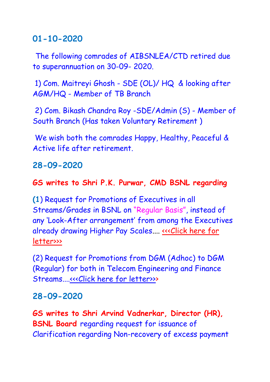# **01-10-2020**

The following comrades of AIBSNLEA/CTD retired due to superannuation on 30-09- 2020.

1) Com. Maitreyi Ghosh - SDE (OL)/ HQ & looking after AGM/HQ - Member of TB Branch

2) Com. Bikash Chandra Roy -SDE/Admin (S) - Member of South Branch (Has taken Voluntary Retirement )

We wish both the comrades Happy, Healthy, Peaceful & Active life after retirement.

# **28-09-2020**

## **GS writes to Shri P.K. Purwar, CMD BSNL regarding**

**(1**) Request for Promotions of Executives in all Streams/Grades in BSNL on "Regular Basis", instead of any 'Look-After arrangement' from among the Executives already drawing Higher Pay Scales.... <<< Click here for [letter>>>](http://aibsnleachq.in/Lrto%20CMD%2028092020.pdf)

(2) Request for Promotions from DGM (Adhoc) to DGM (Regular) for both in Telecom Engineering and Finance Streams...[.<<<Click here for letter>>>](http://aibsnleachq.in/Lr%20to%20CMD%20DGM_Reg_Promotion%202809.pdf)

# **28-09-2020**

**GS writes to Shri Arvind Vadnerkar, Director (HR), BSNL Board** regarding request for issuance of Clarification regarding Non-recovery of excess payment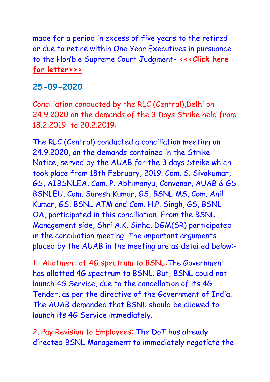made for a period in excess of five years to the retired or due to retire within One Year Executives in pursuance to the Hon'ble Supreme Court Judgment- <<< Click here **[for letter>>>](http://aibsnleachq.in/DIRHR_280920.pdf)**

### **25-09-2020**

Conciliation conducted by the RLC (Central),Delhi on 24.9.2020 on the demands of the 3 Days Strike held from 18.2.2019 to 20.2.2019:

The RLC (Central) conducted a conciliation meeting on 24.9.2020, on the demands contained in the Strike Notice, served by the AUAB for the 3 days Strike which took place from 18th February, 2019. Com. S. Sivakumar, GS, AIBSNLEA, Com. P. Abhimanyu, Convenor, AUAB & GS BSNLEU, Com. Suresh Kumar, GS, BSNL MS, Com. Anil Kumar, GS, BSNL ATM and Com. H.P. Singh, GS, BSNL OA, participated in this conciliation. From the BSNL Management side, Shri A.K. Sinha, DGM(SR) participated in the conciliation meeting. The important arguments placed by the AUAB in the meeting are as detailed below:-

1. Allotment of 4G spectrum to BSNL:The Government has allotted 4G spectrum to BSNL. But, BSNL could not launch 4G Service, due to the cancellation of its 4G Tender, as per the directive of the Government of India. The AUAB demanded that BSNL should be allowed to launch its 4G Service immediately.

2. Pay Revision to Employees: The DoT has already directed BSNL Management to immediately negotiate the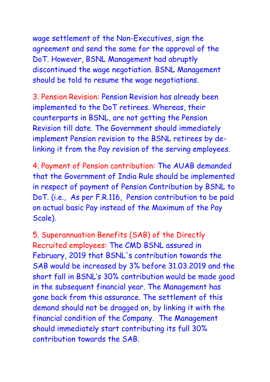wage settlement of the Non-Executives, sign the agreement and send the same for the approval of the DoT. However, BSNL Management had abruptly discontinued the wage negotiation. BSNL Management should be told to resume the wage negotiations.

3. Pension Revision: Pension Revision has already been implemented to the DoT retirees. Whereas, their counterparts in BSNL, are not getting the Pension Revision till date. The Government should immediately implement Pension revision to the BSNL retirees by delinking it from the Pay revision of the serving employees.

4. Payment of Pension contribution: The AUAB demanded that the Government of India Rule should be implemented in respect of payment of Pension Contribution by BSNL to DoT. (i.e., As per F.R.116, Pension contribution to be paid on actual basic Pay instead of the Maximum of the Pay Scale).

5. Superannuation Benefits (SAB) of the Directly Recruited employees: The CMD BSNL assured in February, 2019 that BSNL's contribution towards the SAB would be increased by 3% before 31.03.2019 and the short fall in BSNL's 30% contribution would be made good in the subsequent financial year. The Management has gone back from this assurance. The settlement of this demand should not be dragged on, by linking it with the financial condition of the Company. The Management should immediately start contributing its full 30% contribution towards the SAB.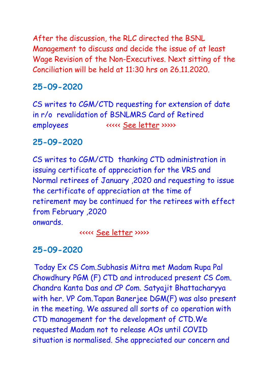After the discussion, the RLC directed the BSNL Management to discuss and decide the issue of at least Wage Revision of the Non-Executives. Next sitting of the Conciliation will be held at 11:30 hrs on 26.11.2020.

# **25-09-2020**

CS writes to CGM/CTD requesting for extension of date in r/o revalidation of BSNLMRS Card of Retired employees <<<<< [See letter](CGM_250920.pdf) >>>>>

# **25-09-2020**

CS writes to CGM/CTD thanking CTD administration in issuing certificate of appreciation for the VRS and Normal retirees of January ,2020 and requesting to issue the certificate of appreciation at the time of retirement may be continued for the retirees with effect from February ,2020 onwards.

<<<<< [See letter](CGM%202_250920.pdf) >>>>>

# **25-09-2020**

Today Ex CS Com.Subhasis Mitra met Madam Rupa Pal Chowdhury PGM (F) CTD and introduced present CS Com. Chandra Kanta Das and CP Com. Satyajit Bhattacharyya with her. VP Com.Tapan Banerjee DGM(F) was also present in the meeting. We assured all sorts of co operation with CTD management for the development of CTD.We requested Madam not to release AOs until COVID situation is normalised. She appreciated our concern and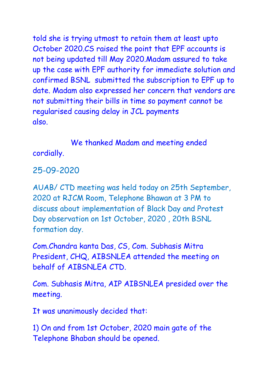told she is trying utmost to retain them at least upto October 2020.CS raised the point that EPF accounts is not being updated till May 2020.Madam assured to take up the case with EPF authority for immediate solution and confirmed BSNL submitted the subscription to EPF up to date. Madam also expressed her concern that vendors are not submitting their bills in time so payment cannot be regularised causing delay in JCL payments also.

We thanked Madam and meeting ended cordially.

25-09-2020

AUAB/ CTD meeting was held today on 25th September, 2020 at RJCM Room, Telephone Bhawan at 3 PM to discuss about implementation of Black Day and Protest Day observation on 1st October, 2020 , 20th BSNL formation day.

Com.Chandra kanta Das, CS, Com. Subhasis Mitra President, CHQ, AIBSNLEA attended the meeting on behalf of AIBSNLEA CTD.

Com. Subhasis Mitra, AIP AIBSNLEA presided over the meeting.

It was unanimously decided that:

1) On and from 1st October, 2020 main gate of the Telephone Bhaban should be opened.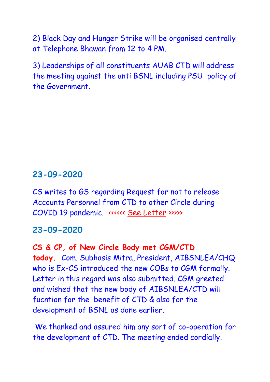2) Black Day and Hunger Strike will be organised centrally at Telephone Bhawan from 12 to 4 PM.

3) Leaderships of all constituents AUAB CTD will address the meeting against the anti BSNL including PSU policy of the Government.

### **23-09-2020**

CS writes to GS regarding Request for not to release Accounts Personnel from CTD to other Circle during COVID 19 pandemic. <<<<<< [See Letter](http://aibsnleawb.org/GS_230920.pdf) >>>>>

### **23-09-2020**

**CS & CP, of New Circle Body met CGM/CTD today.** Com. Subhasis Mitra, President, AIBSNLEA/CHQ who is Ex-CS introduced the new COBs to CGM formally. Letter in this regard was also submitted. CGM greeted and wished that the new body of AIBSNLEA/CTD will fucntion for the benefit of CTD & also for the development of BSNL as done earlier.

We thanked and assured him any sort of co-operation for the development of CTD. The meeting ended cordially.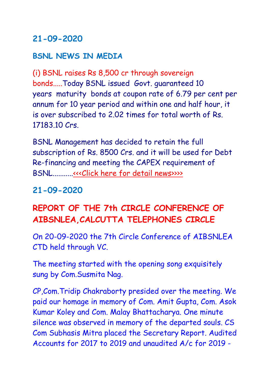## **21-09-2020**

### **BSNL NEWS IN MEDIA**

(i) BSNL raises Rs 8,500 cr through sovereign bonds.....Today BSNL issued Govt. guaranteed 10 years maturity bonds at coupon rate of 6.79 per cent per annum for 10 year period and within one and half hour, it is over subscribed to 2.02 times for total worth of Rs. 17183.10 Crs.

BSNL Management has decided to retain the full subscription of Rs. 8500 Crs. and it will be used for Debt Re-financing and meeting the CAPEX requirement of BSNL..........[.<<<Click here for detail news>>>>](https://economictimes.indiatimes.com/markets/bonds/bsnl-raises-rs-8500-cr-through-sovereign-bonds/articleshow/78237224.cms)

## **21-09-2020**

# **REPORT OF THE 7th CIRCLE CONFERENCE OF AIBSNLEA,CALCUTTA TELEPHONES CIRCLE**

On 20-09-2020 the 7th Circle Conference of AIBSNLEA CTD held through VC.

The meeting started with the opening song exquisitely sung by Com.Susmita Nag.

CP,Com.Tridip Chakraborty presided over the meeting. We paid our homage in memory of Com. Amit Gupta, Com. Asok Kumar Koley and Com. Malay Bhattacharya. One minute silence was observed in memory of the departed souls. CS Com Subhasis Mitra placed the Secretary Report. Audited Accounts for 2017 to 2019 and unaudited A/c for 2019 -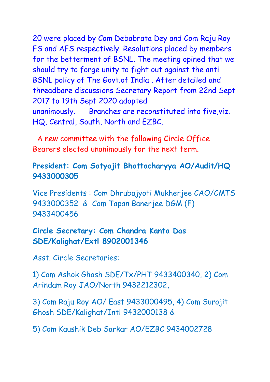20 were placed by Com Debabrata Dey and Com Raju Roy FS and AFS respectively. Resolutions placed by members for the betterment of BSNL. The meeting opined that we should try to forge unity to fight out against the anti BSNL policy of The Govt.of India . After detailed and threadbare discussions Secretary Report from 22nd Sept 2017 to 19th Sept 2020 adopted unanimously. Branches are reconstituted into five,viz. HQ, Central, South, North and EZBC.

 A new committee with the following Circle Office Bearers elected unanimously for the next term.

### **President: Com Satyajit Bhattacharyya AO/Audit/HQ 9433000305**

Vice Presidents : Com Dhrubajyoti Mukherjee CAO/CMTS 9433000352 & Com Tapan Banerjee DGM (F) 9433400456

### **Circle Secretary: Com Chandra Kanta Das SDE/Kalighat/Extl 8902001346**

Asst. Circle Secretaries:

1) Com Ashok Ghosh SDE/Tx/PHT 9433400340, 2) Com Arindam Roy JAO/North 9432212302,

3) Com Raju Roy AO/ East 9433000495, 4) Com Surojit Ghosh SDE/Kalighat/Intl 9432000138 &

5) Com Kaushik Deb Sarkar AO/EZBC 9434002728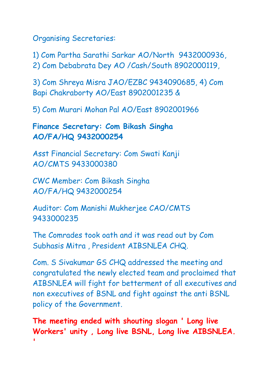Organising Secretaries:

1) Com Partha Sarathi Sarkar AO/North 9432000936, 2) Com Debabrata Dey AO /Cash/South 8902000119,

3) Com Shreya Misra JAO/EZBC 9434090685, 4) Com Bapi Chakraborty AO/East 8902001235 &

5) Com Murari Mohan Pal AO/East 8902001966

**Finance Secretary: Com Bikash Singha AO/FA/HQ 9432000254**

Asst Financial Secretary: Com Swati Kanji AO/CMTS 9433000380

CWC Member: Com Bikash Singha AO/FA/HQ 9432000254

Auditor: Com Manishi Mukherjee CAO/CMTS 9433000235

The Comrades took oath and it was read out by Com Subhasis Mitra , President AIBSNLEA CHQ.

Com. S Sivakumar GS CHQ addressed the meeting and congratulated the newly elected team and proclaimed that AIBSNLEA will fight for betterment of all executives and non executives of BSNL and fight against the anti BSNL policy of the Government.

**The meeting ended with shouting slogan ' Long live Workers' unity , Long live BSNL, Long live AIBSNLEA. '**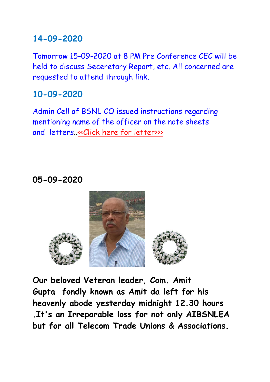## **14-09-2020**

Tomorrow 15-09-2020 at 8 PM Pre Conference CEC will be held to discuss Seceretary Report, etc. All concerned are requested to attend through link.

# **10-09-2020**

Admin Cell of BSNL CO issued instructions regarding mentioning name of the officer on the note sheets and letters. «Click here for letter>>>

# **05-09-2020**



**Our beloved Veteran leader, Com. Amit Gupta fondly known as Amit da left for his heavenly abode yesterday midnight 12.30 hours .It's an Irreparable loss for not only AIBSNLEA but for all Telecom Trade Unions & Associations.**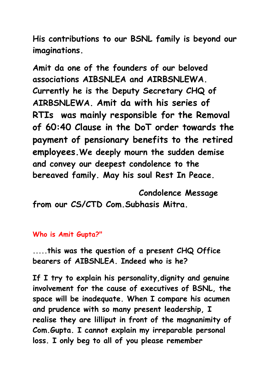**His contributions to our BSNL family is beyond our imaginations.**

**Amit da one of the founders of our beloved associations AIBSNLEA and AIRBSNLEWA. Currently he is the Deputy Secretary CHQ of AIRBSNLEWA. Amit da with his series of RTIs was mainly responsible for the Removal of 60:40 Clause in the DoT order towards the payment of pensionary benefits to the retired employees.We deeply mourn the sudden demise and convey our deepest condolence to the bereaved family. May his soul Rest In Peace.**

 **Condolence Message from our CS/CTD Com.Subhasis Mitra.**

#### **Who is Amit Gupta?"**

**.....this was the question of a present CHQ Office bearers of AIBSNLEA. Indeed who is he?**

**If I try to explain his personality,dignity and genuine involvement for the cause of executives of BSNL, the space will be inadequate. When I compare his acumen and prudence with so many present leadership, I realise they are lilliput in front of the magnanimity of Com.Gupta. I cannot explain my irreparable personal loss. I only beg to all of you please remember**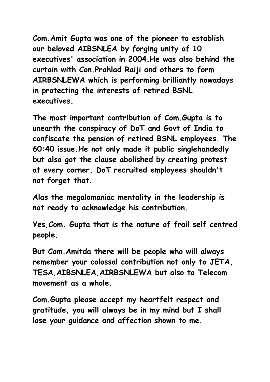**Com.Amit Gupta was one of the pioneer to establish our beloved AIBSNLEA by forging unity of 10 executives' association in 2004.He was also behind the curtain with Con.Prahlad Raiji and others to form AIRBSNLEWA which is performing brilliantly nowadays in protecting the interests of retired BSNL executives.**

**The most important contribution of Com.Gupta is to unearth the conspiracy of DoT and Govt of India to confiscate the pension of retired BSNL employees. The 60:40 issue.He not only made it public singlehandedly but also got the clause abolished by creating protest at every corner. DoT recruited employees shouldn't not forget that.**

**Alas the megalomaniac mentality in the leadership is not ready to acknowledge his contribution.**

**Yes,Com. Gupta that is the nature of frail self centred people.**

**But Com.Amitda there will be people who will always remember your colossal contribution not only to JETA, TESA,AIBSNLEA,AIRBSNLEWA but also to Telecom movement as a whole.**

**Com.Gupta please accept my heartfelt respect and gratitude, you will always be in my mind but I shall lose your guidance and affection shown to me.**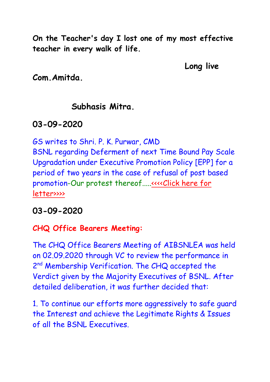**On the Teacher's day I lost one of my most effective teacher in every walk of life.**

**Long live** 

**Com.Amitda.**

## **Subhasis Mitra.**

# **03-09-2020**

GS writes to Shri. P. K. Purwar, CMD

BSNL regarding Deferment of next Time Bound Pay Scale Upgradation under Executive Promotion Policy [EPP] for a period of two years in the case of refusal of post based promotion-Our protest thereof....[.<<<<Click here for](http://aibsnleachq.in/epp_03092020.pdf)  [letter>>>>](http://aibsnleachq.in/epp_03092020.pdf)

# **03-09-2020**

## **CHQ Office Bearers Meeting:**

The CHQ Office Bearers Meeting of AIBSNLEA was held on 02.09.2020 through VC to review the performance in 2<sup>nd</sup> Membership Verification. The CHQ accepted the Verdict given by the Majority Executives of BSNL. After detailed deliberation, it was further decided that:

1. To continue our efforts more aggressively to safe guard the Interest and achieve the Legitimate Rights & Issues of all the BSNL Executives.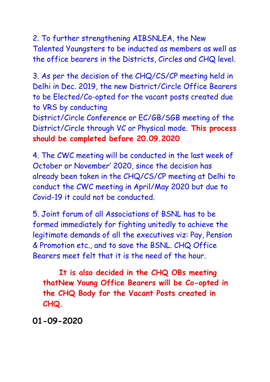2. To further strengthening AIBSNLEA, the New Talented Youngsters to be inducted as members as well as the office bearers in the Districts, Circles and CHQ level.

3. As per the decision of the CHQ/CS/CP meeting held in Delhi in Dec. 2019, the new District/Circle Office Bearers to be Elected/Co-opted for the vacant posts created due to VRS by conducting

District/Circle Conference or EC/GB/SGB meeting of the District/Circle through VC or Physical mode. **This process should be completed before 20.09.2020** 

4. The CWC meeting will be conducted in the last week of October or November' 2020, since the decision has already been taken in the CHQ/CS/CP meeting at Delhi to conduct the CWC meeting in April/May 2020 but due to Covid-19 it could not be conducted.

5. Joint forum of all Associations of BSNL has to be formed immediately for fighting unitedly to achieve the legitimate demands of all the executives viz: Pay, Pension & Promotion etc., and to save the BSNL. CHQ Office Bearers meet felt that it is the need of the hour.

 **It is also decided in the CHQ OBs meeting thatNew Young Office Bearers will be Co-opted in the CHQ Body for the Vacant Posts created in CHQ.**

**01-09-2020**